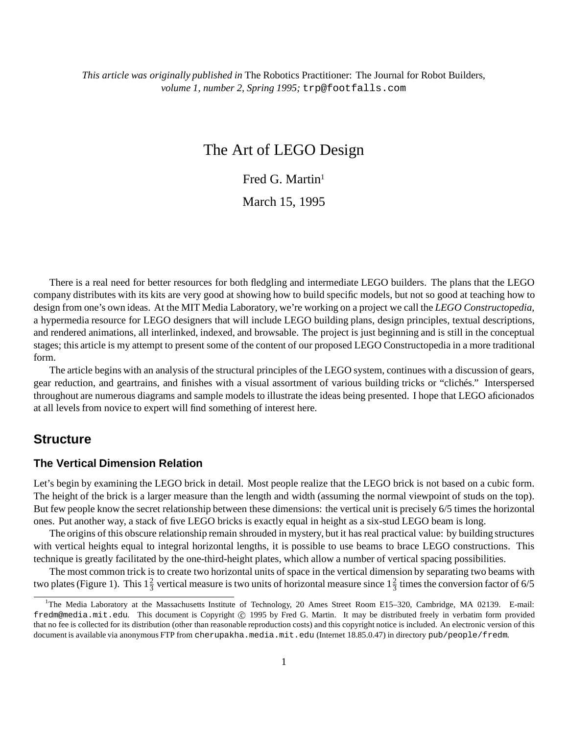# The Art of LEGO Design

Fred G. Martin<sup>1</sup>

March 15, 1995

There is a real need for better resources for both fledgling and intermediate LEGO builders. The plans that the LEGO company distributes with its kits are very good at showing how to build specific models, but not so good at teaching how to design from one's own ideas. At the MIT Media Laboratory, we're working on a project we call the *LEGO Constructopedia*, a hypermedia resource for LEGO designers that will include LEGO building plans, design principles, textual descriptions, and rendered animations, all interlinked, indexed, and browsable. The project is just beginning and is still in the conceptual stages; this article is my attempt to present some of the content of our proposed LEGO Constructopedia in a more traditional form.

The article begins with an analysis of the structural principles of the LEGO system, continues with a discussion of gears, gear reduction, and geartrains, and finishes with a visual assortment of various building tricks or "clichés." Interspersed throughout are numerous diagrams and sample models to illustrate the ideas being presented. I hope that LEGO aficionados at all levels from novice to expert will find something of interest here.

## **Structure**

### **The Vertical Dimension Relation**

Let's begin by examining the LEGO brick in detail. Most people realize that the LEGO brick is not based on a cubic form. The height of the brick is a larger measure than the length and width (assuming the normal viewpoint of studs on the top). But few people know the secret relationship between these dimensions: the vertical unit is precisely 6/5 times the horizontal ones. Put another way, a stack of five LEGO bricks is exactly equal in height as a six-stud LEGO beam is long.

The origins of this obscure relationship remain shrouded in mystery, but it has real practical value: by building structures with vertical heights equal to integral horizontal lengths, it is possible to use beams to brace LEGO constructions. This technique is greatly facilitated by the one-third-height plates, which allow a number of vertical spacing possibilities.

The most common trick is to create two horizontal units of space in the vertical dimension by separating two beams with two plates (Figure 1). This  $1\frac{2}{3}$  vertical measure is two units of horizontal measure since  $1\frac{2}{3}$  times the conversion factor of 6/5

<sup>&</sup>lt;sup>1</sup>The Media Laboratory at the Massachusetts Institute of Technology, 20 Ames Street Room E15-320, Cambridge, MA 02139. E-mail: fredm@media.mit.edu. This document is Copyright © 1995 by Fred G. Martin. It may be distributed freely in verbatim form provided that no fee is collected for its distribution (other than reasonable reproduction costs) and this copyright notice is included. An electronic version of this document is available via anonymous FTP from cherupakha.media.mit.edu (Internet 18.85.0.47) in directory pub/people/fredm.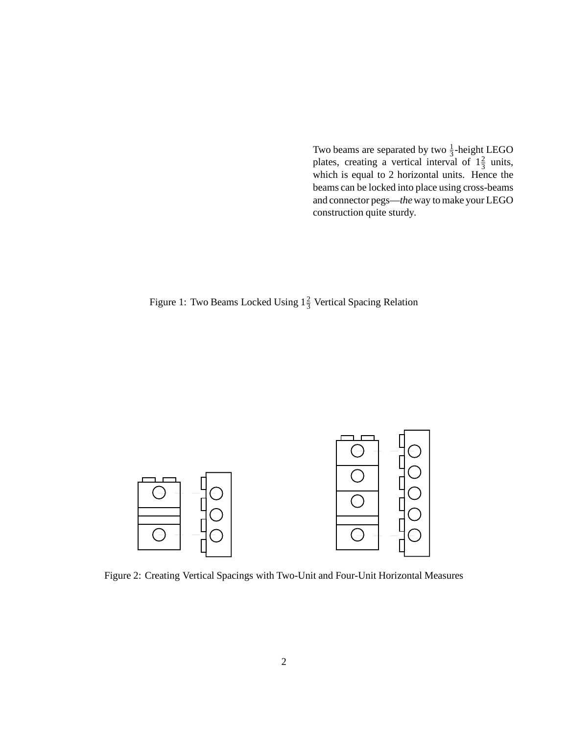Two beams are separated by two  $\frac{1}{3}$ -height LEGO plates, creating a vertical interval of  $1\frac{2}{3}$  units, which is equal to 2 horizontal units. Hence the beams can be locked into place using cross-beams and connector pegs—*the*way to make your LEGO construction quite sturdy.

# Figure 1: Two Beams Locked Using  $1\frac{2}{3}$  Vertical Spacing Relation



Figure 2: Creating Vertical Spacings with Two-Unit and Four-Unit Horizontal Measures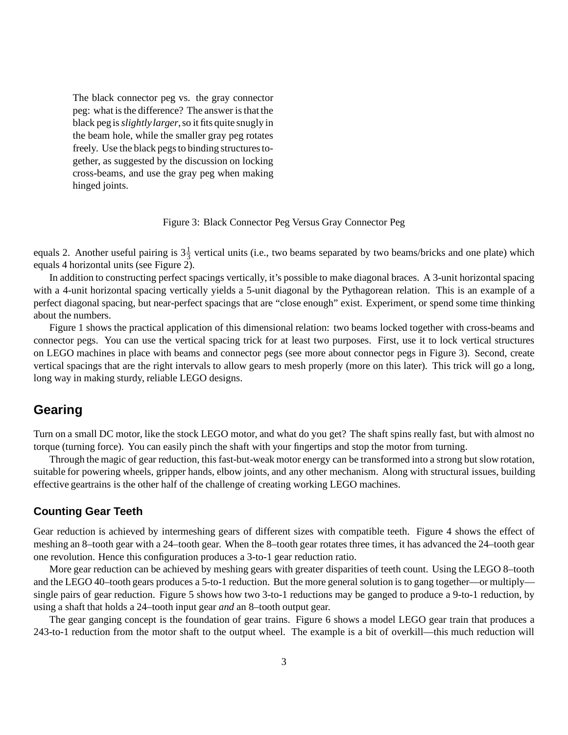The black connector peg vs. the gray connector peg: what is the difference? The answer is that the black peg is*slightlylarger*,so it fits quite snugly in the beam hole, while the smaller gray peg rotates freely. Use the black pegs to binding structures together, as suggested by the discussion on locking cross-beams, and use the gray peg when making hinged joints.

Figure 3: Black Connector Peg Versus Gray Connector Peg

equals 2. Another useful pairing is  $3\frac{1}{3}$  vertical units (i.e., two beams separated by two beams/bricks and one plate) which equals 4 horizontal units (see Figure 2).

In addition to constructing perfect spacings vertically, it's possible to make diagonal braces. A 3-unit horizontal spacing with a 4-unit horizontal spacing vertically yields a 5-unit diagonal by the Pythagorean relation. This is an example of a perfect diagonal spacing, but near-perfect spacings that are "close enough" exist. Experiment, or spend some time thinking about the numbers.

Figure 1 shows the practical application of this dimensional relation: two beams locked together with cross-beams and connector pegs. You can use the vertical spacing trick for at least two purposes. First, use it to lock vertical structures on LEGO machines in place with beams and connector pegs (see more about connector pegs in Figure 3). Second, create vertical spacings that are the right intervals to allow gears to mesh properly (more on this later). This trick will go a long, long way in making sturdy, reliable LEGO designs.

## **Gearing**

Turn on a small DC motor, like the stock LEGO motor, and what do you get? The shaft spins really fast, but with almost no torque (turning force). You can easily pinch the shaft with your fingertips and stop the motor from turning.

Through the magic of gear reduction, this fast-but-weak motor energy can be transformed into a strong but slow rotation, suitable for powering wheels, gripper hands, elbow joints, and any other mechanism. Along with structural issues, building effective geartrains is the other half of the challenge of creating working LEGO machines.

### **Counting Gear Teeth**

Gear reduction is achieved by intermeshing gears of different sizes with compatible teeth. Figure 4 shows the effect of meshing an 8–tooth gear with a 24–tooth gear. When the 8–tooth gear rotates three times, it has advanced the 24–tooth gear one revolution. Hence this configuration produces a 3-to-1 gear reduction ratio.

More gear reduction can be achieved by meshing gears with greater disparities of teeth count. Using the LEGO 8–tooth and the LEGO 40–tooth gears produces a 5-to-1 reduction. But the more general solution is to gang together—or multiply single pairs of gear reduction. Figure 5 shows how two 3-to-1 reductions may be ganged to produce a 9-to-1 reduction, by using a shaft that holds a 24–tooth input gear *and* an 8–tooth output gear.

The gear ganging concept is the foundation of gear trains. Figure 6 shows a model LEGO gear train that produces a 243-to-1 reduction from the motor shaft to the output wheel. The example is a bit of overkill—this much reduction will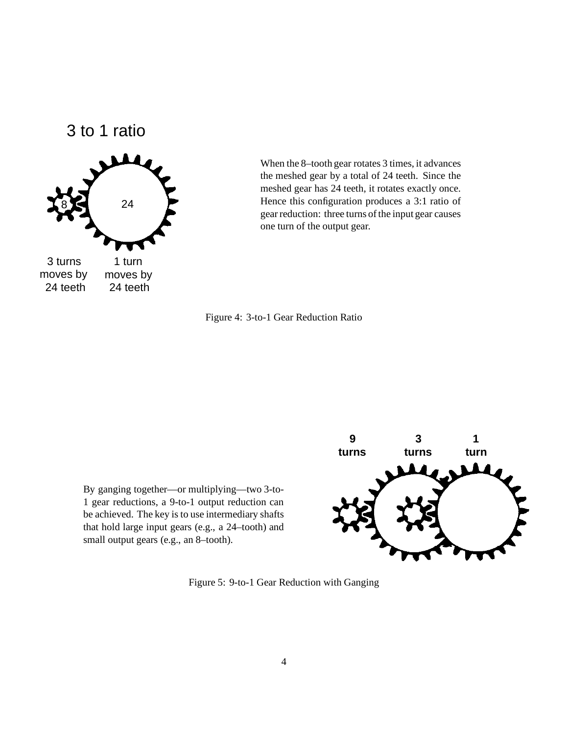3 to 1 ratio



When the 8–tooth gear rotates 3 times, it advances the meshed gear by a total of 24 teeth. Since the meshed gear has 24 teeth, it rotates exactly once. Hence this configuration produces a 3:1 ratio of gear reduction: three turns of the input gear causes one turn of the output gear.



By ganging together—or multiplying—two 3-to-1 gear reductions, a 9-to-1 output reduction can be achieved. The key is to use intermediary shafts that hold large input gears (e.g., a 24–tooth) and small output gears (e.g., an 8–tooth).



Figure 5: 9-to-1 Gear Reduction with Ganging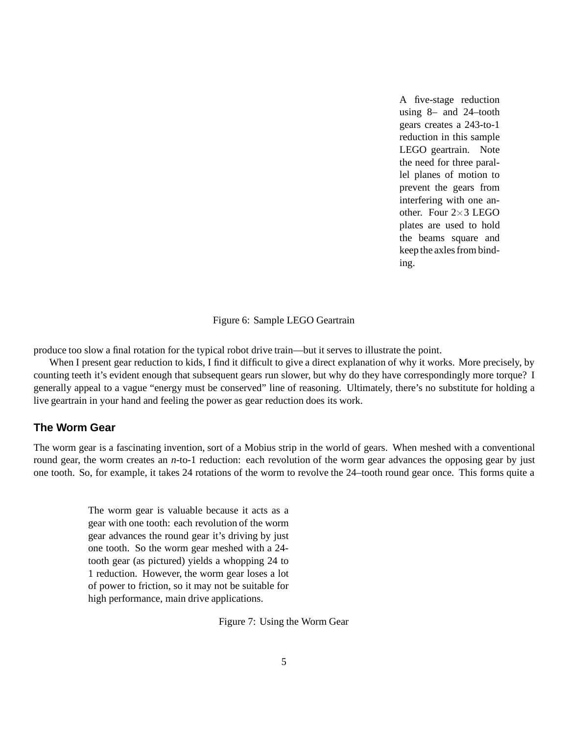A five-stage reduction using 8– and 24–tooth gears creates a 243-to-1 reduction in this sample LEGO geartrain. Note the need for three parallel planes of motion to prevent the gears from interfering with one another. Four  $2\times3$  LEGO plates are used to hold the beams square and keep the axles from binding.

Figure 6: Sample LEGO Geartrain

produce too slow a final rotation for the typical robot drive train—but it serves to illustrate the point.

When I present gear reduction to kids, I find it difficult to give a direct explanation of why it works. More precisely, by counting teeth it's evident enough that subsequent gears run slower, but why do they have correspondingly more torque? I generally appeal to a vague "energy must be conserved" line of reasoning. Ultimately, there's no substitute for holding a live geartrain in your hand and feeling the power as gear reduction does its work.

### **The Worm Gear**

The worm gear is a fascinating invention, sort of a Mobius strip in the world of gears. When meshed with a conventional round gear, the worm creates an *n*-to-1 reduction: each revolution of the worm gear advances the opposing gear by just one tooth. So, for example, it takes 24 rotations of the worm to revolve the 24–tooth round gear once. This forms quite a

> The worm gear is valuable because it acts as a gear with one tooth: each revolution of the worm gear advances the round gear it's driving by just one tooth. So the worm gear meshed with a 24 tooth gear (as pictured) yields a whopping 24 to 1 reduction. However, the worm gear loses a lot of power to friction, so it may not be suitable for high performance, main drive applications.

> > Figure 7: Using the Worm Gear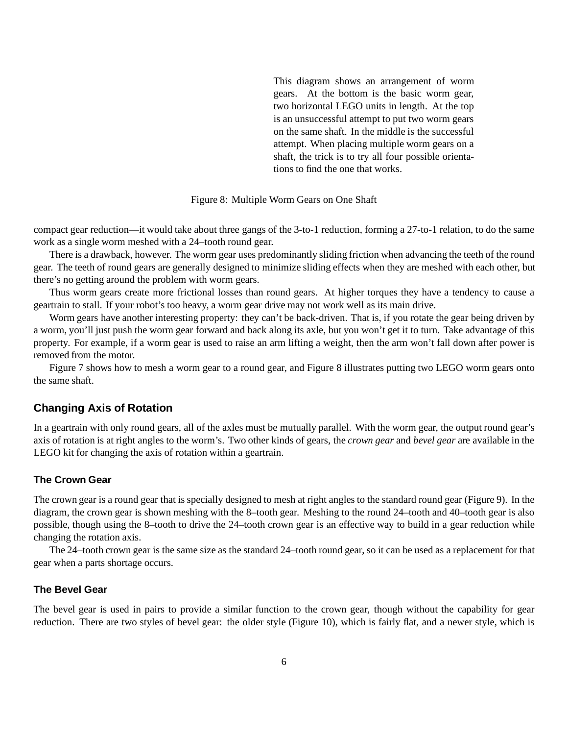This diagram shows an arrangement of worm gears. At the bottom is the basic worm gear, two horizontal LEGO units in length. At the top is an unsuccessful attempt to put two worm gears on the same shaft. In the middle is the successful attempt. When placing multiple worm gears on a shaft, the trick is to try all four possible orientations to find the one that works.

#### Figure 8: Multiple Worm Gears on One Shaft

compact gear reduction—it would take about three gangs of the 3-to-1 reduction, forming a 27-to-1 relation, to do the same work as a single worm meshed with a 24–tooth round gear.

There is a drawback, however. The worm gear uses predominantly sliding friction when advancing the teeth of the round gear. The teeth of round gears are generally designed to minimize sliding effects when they are meshed with each other, but there's no getting around the problem with worm gears.

Thus worm gears create more frictional losses than round gears. At higher torques they have a tendency to cause a geartrain to stall. If your robot's too heavy, a worm gear drive may not work well as its main drive.

Worm gears have another interesting property: they can't be back-driven. That is, if you rotate the gear being driven by a worm, you'll just push the worm gear forward and back along its axle, but you won't get it to turn. Take advantage of this property. For example, if a worm gear is used to raise an arm lifting a weight, then the arm won't fall down after power is removed from the motor.

Figure 7 shows how to mesh a worm gear to a round gear, and Figure 8 illustrates putting two LEGO worm gears onto the same shaft.

### **Changing Axis of Rotation**

In a geartrain with only round gears, all of the axles must be mutually parallel. With the worm gear, the output round gear's axis of rotation is at right angles to the worm's. Two other kinds of gears, the *crown gear* and *bevel gear* are available in the LEGO kit for changing the axis of rotation within a geartrain.

#### **The Crown Gear**

The crown gear is a round gear that is specially designed to mesh at right angles to the standard round gear (Figure 9). In the diagram, the crown gear is shown meshing with the 8–tooth gear. Meshing to the round 24–tooth and 40–tooth gear is also possible, though using the 8–tooth to drive the 24–tooth crown gear is an effective way to build in a gear reduction while changing the rotation axis.

The 24–tooth crown gear is the same size as the standard 24–tooth round gear, so it can be used as a replacement for that gear when a parts shortage occurs.

#### **The Bevel Gear**

The bevel gear is used in pairs to provide a similar function to the crown gear, though without the capability for gear reduction. There are two styles of bevel gear: the older style (Figure 10), which is fairly flat, and a newer style, which is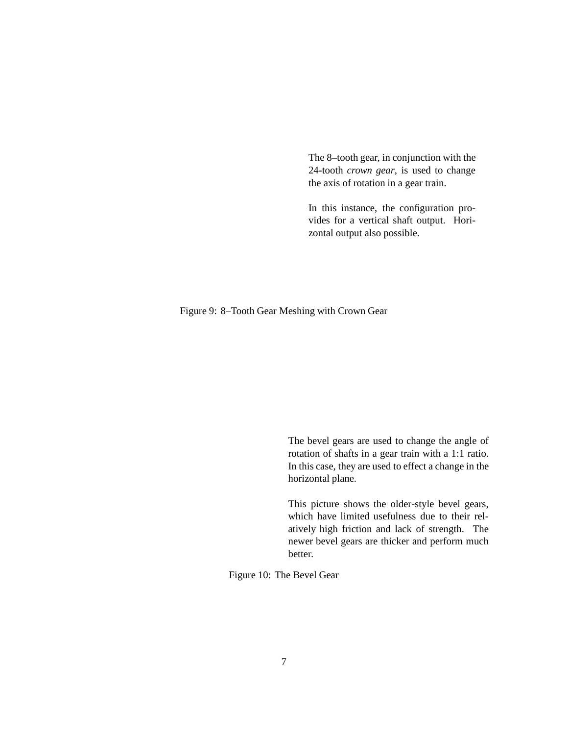The 8–tooth gear, in conjunction with the 24-tooth *crown gear*, is used to change the axis of rotation in a gear train.

In this instance, the configuration provides for a vertical shaft output. Horizontal output also possible.

Figure 9: 8–Tooth Gear Meshing with Crown Gear

The bevel gears are used to change the angle of rotation of shafts in a gear train with a 1:1 ratio. In this case, they are used to effect a change in the horizontal plane.

This picture shows the older-style bevel gears, which have limited usefulness due to their relatively high friction and lack of strength. The newer bevel gears are thicker and perform much better.

Figure 10: The Bevel Gear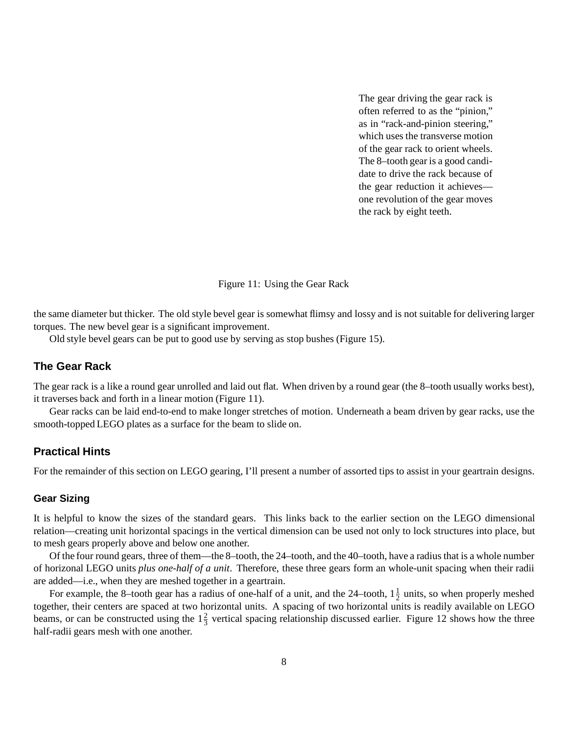The gear driving the gear rack is often referred to as the "pinion," as in "rack-and-pinion steering," which uses the transverse motion of the gear rack to orient wheels. The 8–tooth gear is a good candidate to drive the rack because of the gear reduction it achieves one revolution of the gear moves the rack by eight teeth.

Figure 11: Using the Gear Rack

the same diameter but thicker. The old style bevel gear is somewhat flimsy and lossy and is not suitable for delivering larger torques. The new bevel gear is a significant improvement.

Old style bevel gears can be put to good use by serving as stop bushes (Figure 15).

## **The Gear Rack**

The gear rack is a like a round gear unrolled and laid out flat. When driven by a round gear (the 8–tooth usually works best), it traverses back and forth in a linear motion (Figure 11).

Gear racks can be laid end-to-end to make longer stretches of motion. Underneath a beam driven by gear racks, use the smooth-topped LEGO plates as a surface for the beam to slide on.

### **Practical Hints**

For the remainder of this section on LEGO gearing, I'll present a number of assorted tips to assist in your geartrain designs.

#### **Gear Sizing**

It is helpful to know the sizes of the standard gears. This links back to the earlier section on the LEGO dimensional relation—creating unit horizontal spacings in the vertical dimension can be used not only to lock structures into place, but to mesh gears properly above and below one another.

Of the four round gears, three of them—the 8–tooth, the 24–tooth, and the 40–tooth, have a radius that is a whole number of horizonal LEGO units *plus one-half of a unit*. Therefore, these three gears form an whole-unit spacing when their radii are added—i.e., when they are meshed together in a geartrain.

For example, the 8-tooth gear has a radius of one-half of a unit, and the 24-tooth,  $1\frac{1}{2}$  units, so when properly meshed together, their centers are spaced at two horizontal units. A spacing of two horizontal units is readily available on LEGO beams, or can be constructed using the  $1\frac{2}{3}$  vertical spacing relationship discussed earlier. Figure 12 shows how the three half-radii gears mesh with one another.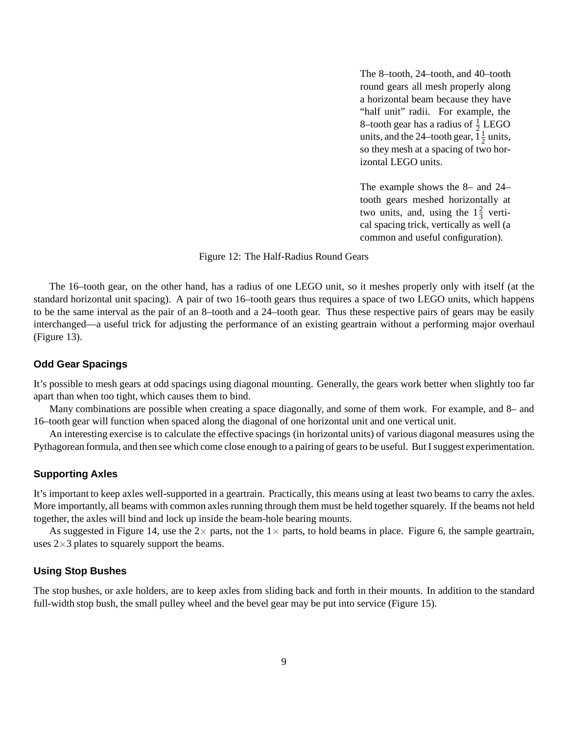The 8–tooth, 24–tooth, and 40–tooth round gears all mesh properly along a horizontal beam because they have "half unit" radii. For example, the 8–tooth gear has a radius of  $\frac{1}{2}$  LEGO units, and the 24–tooth gear,  $1\frac{1}{2}$  units, so they mesh at a spacing of two horizontal LEGO units.

The example shows the 8– and 24– tooth gears meshed horizontally at two units, and, using the  $1\frac{2}{3}$  vertical spacing trick, vertically as well (a common and useful configuration).

#### Figure 12: The Half-Radius Round Gears

The 16–tooth gear, on the other hand, has a radius of one LEGO unit, so it meshes properly only with itself (at the standard horizontal unit spacing). A pair of two 16–tooth gears thus requires a space of two LEGO units, which happens to be the same interval as the pair of an 8–tooth and a 24–tooth gear. Thus these respective pairs of gears may be easily interchanged—a useful trick for adjusting the performance of an existing geartrain without a performing major overhaul (Figure 13).

#### **Odd Gear Spacings**

It's possible to mesh gears at odd spacings using diagonal mounting. Generally, the gears work better when slightly too far apart than when too tight, which causes them to bind.

Many combinations are possible when creating a space diagonally, and some of them work. For example, and 8– and 16–tooth gear will function when spaced along the diagonal of one horizontal unit and one vertical unit.

An interesting exercise is to calculate the effective spacings (in horizontal units) of various diagonal measures using the Pythagorean formula, and then see which come close enough to a pairing of gears to be useful. But I suggest experimentation.

#### **Supporting Axles**

It's important to keep axles well-supported in a geartrain. Practically, this means using at least two beams to carry the axles. More importantly, all beams with common axles running through them must be held together squarely. If the beams not held together, the axles will bind and lock up inside the beam-hole bearing mounts.

As suggested in Figure 14, use the  $2\times$  parts, not the  $1\times$  parts, to hold beams in place. Figure 6, the sample geartrain, uses  $2\times 3$  plates to squarely support the beams.

#### **Using Stop Bushes**

The stop bushes, or axle holders, are to keep axles from sliding back and forth in their mounts. In addition to the standard full-width stop bush, the small pulley wheel and the bevel gear may be put into service (Figure 15).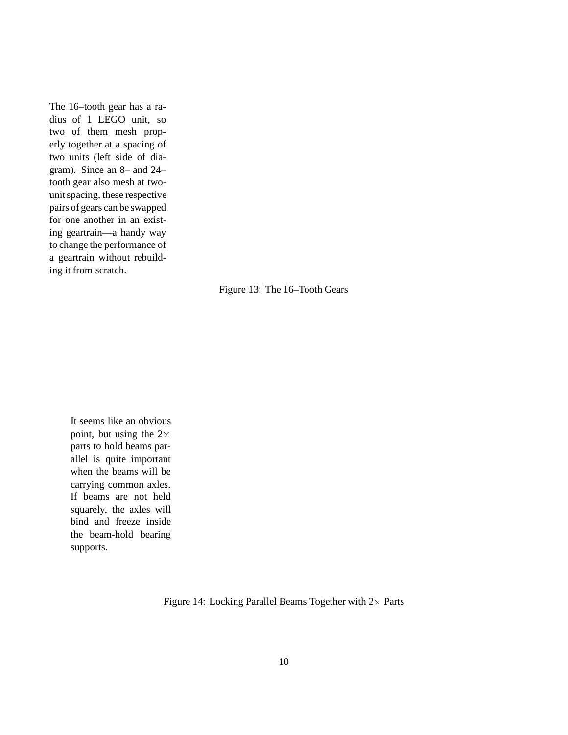The 16–tooth gear has a radius of 1 LEGO unit, so two of them mesh properly together at a spacing of two units (left side of diagram). Since an 8– and 24– tooth gear also mesh at twounit spacing, these respective pairs of gears can be swapped for one another in an existing geartrain—a handy way to change the performance of a geartrain without rebuilding it from scratch.

Figure 13: The 16–Tooth Gears

It seems like an obvious point, but using the  $2 \times$ parts to hold beams parallel is quite important when the beams will be carrying common axles. If beams are not held squarely, the axles will bind and freeze inside the beam-hold bearing supports.

Figure 14: Locking Parallel Beams Together with  $2\times$  Parts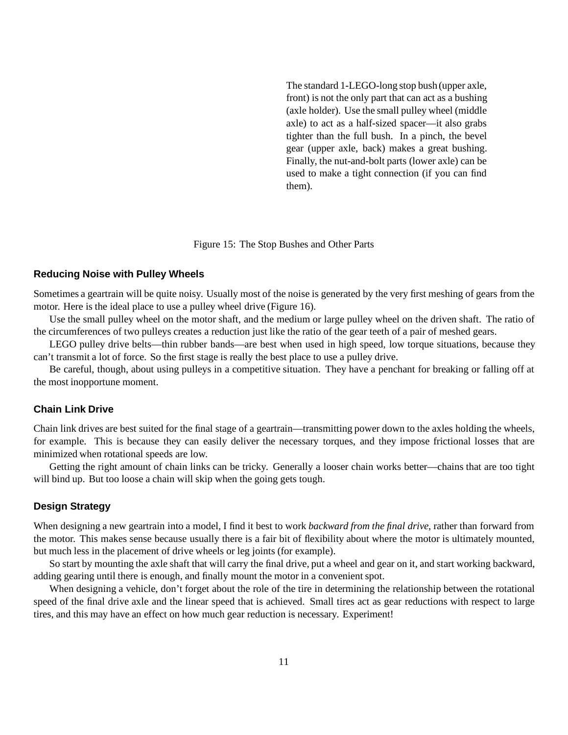The standard 1-LEGO-long stop bush (upper axle, front) is not the only part that can act as a bushing (axle holder). Use the small pulley wheel (middle axle) to act as a half-sized spacer—it also grabs tighter than the full bush. In a pinch, the bevel gear (upper axle, back) makes a great bushing. Finally, the nut-and-bolt parts (lower axle) can be used to make a tight connection (if you can find them).

#### Figure 15: The Stop Bushes and Other Parts

#### **Reducing Noise with Pulley Wheels**

Sometimes a geartrain will be quite noisy. Usually most of the noise is generated by the very first meshing of gears from the motor. Here is the ideal place to use a pulley wheel drive (Figure 16).

Use the small pulley wheel on the motor shaft, and the medium or large pulley wheel on the driven shaft. The ratio of the circumferences of two pulleys creates a reduction just like the ratio of the gear teeth of a pair of meshed gears.

LEGO pulley drive belts—thin rubber bands—are best when used in high speed, low torque situations, because they can't transmit a lot of force. So the first stage is really the best place to use a pulley drive.

Be careful, though, about using pulleys in a competitive situation. They have a penchant for breaking or falling off at the most inopportune moment.

#### **Chain Link Drive**

Chain link drives are best suited for the final stage of a geartrain—transmitting power down to the axles holding the wheels, for example. This is because they can easily deliver the necessary torques, and they impose frictional losses that are minimized when rotational speeds are low.

Getting the right amount of chain links can be tricky. Generally a looser chain works better—chains that are too tight will bind up. But too loose a chain will skip when the going gets tough.

#### **Design Strategy**

When designing a new geartrain into a model, I find it best to work *backward from the final drive*, rather than forward from the motor. This makes sense because usually there is a fair bit of flexibility about where the motor is ultimately mounted, but much less in the placement of drive wheels or leg joints (for example).

So start by mounting the axle shaft that will carry the final drive, put a wheel and gear on it, and start working backward, adding gearing until there is enough, and finally mount the motor in a convenient spot.

When designing a vehicle, don't forget about the role of the tire in determining the relationship between the rotational speed of the final drive axle and the linear speed that is achieved. Small tires act as gear reductions with respect to large tires, and this may have an effect on how much gear reduction is necessary. Experiment!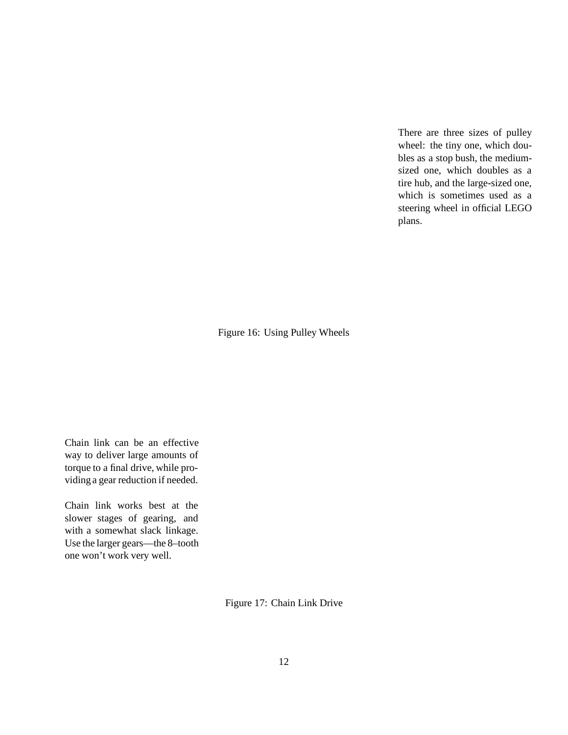There are three sizes of pulley wheel: the tiny one, which doubles as a stop bush, the mediumsized one, which doubles as a tire hub, and the large-sized one, which is sometimes used as a steering wheel in official LEGO plans.

Figure 16: Using Pulley Wheels

Chain link can be an effective way to deliver large amounts of torque to a final drive, while providing a gear reduction if needed.

Chain link works best at the slower stages of gearing, and with a somewhat slack linkage. Use the larger gears—the 8–tooth one won't work very well.

Figure 17: Chain Link Drive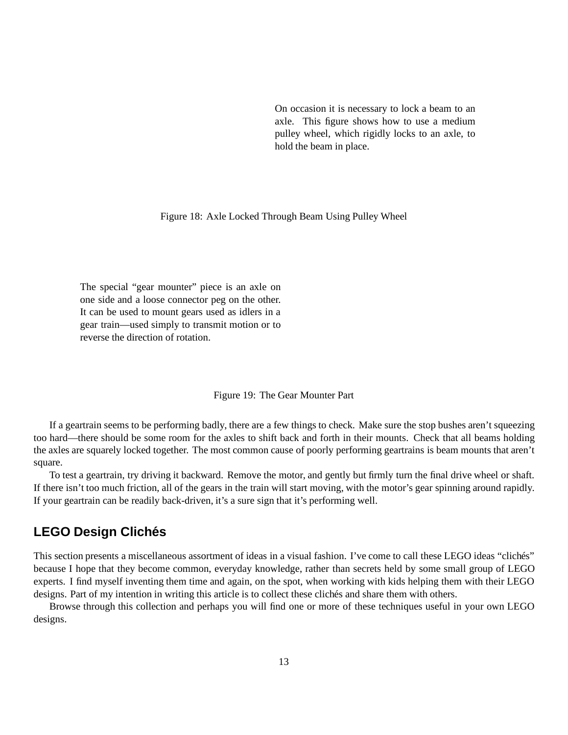On occasion it is necessary to lock a beam to an axle. This figure shows how to use a medium pulley wheel, which rigidly locks to an axle, to hold the beam in place.

Figure 18: Axle Locked Through Beam Using Pulley Wheel

The special "gear mounter" piece is an axle on one side and a loose connector peg on the other. It can be used to mount gears used as idlers in a gear train—used simply to transmit motion or to reverse the direction of rotation.

#### Figure 19: The Gear Mounter Part

If a geartrain seems to be performing badly, there are a few things to check. Make sure the stop bushes aren't squeezing too hard—there should be some room for the axles to shift back and forth in their mounts. Check that all beams holding the axles are squarely locked together. The most common cause of poorly performing geartrains is beam mounts that aren't square.

To test a geartrain, try driving it backward. Remove the motor, and gently but firmly turn the final drive wheel or shaft. If there isn't too much friction, all of the gears in the train will start moving, with the motor's gear spinning around rapidly. If your geartrain can be readily back-driven, it's a sure sign that it's performing well.

## **LEGO Design Clich´es**

This section presents a miscellaneous assortment of ideas in a visual fashion. I've come to call these LEGO ideas "clichés" because I hope that they become common, everyday knowledge, rather than secrets held by some small group of LEGO experts. I find myself inventing them time and again, on the spot, when working with kids helping them with their LEGO designs. Part of my intention in writing this article is to collect these clichés and share them with others.

Browse through this collection and perhaps you will find one or more of these techniques useful in your own LEGO designs.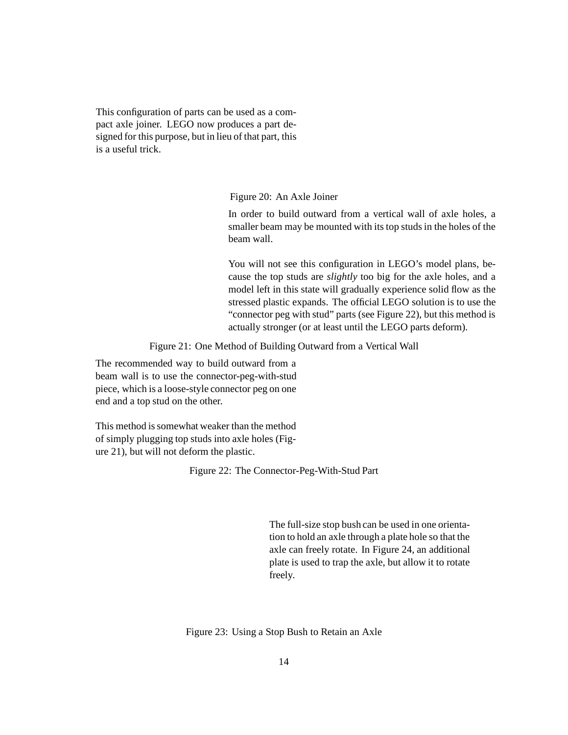This configuration of parts can be used as a compact axle joiner. LEGO now produces a part designed for this purpose, but in lieu of that part, this is a useful trick.

Figure 20: An Axle Joiner

In order to build outward from a vertical wall of axle holes, a smaller beam may be mounted with its top studs in the holes of the beam wall.

You will not see this configuration in LEGO's model plans, because the top studs are *slightly* too big for the axle holes, and a model left in this state will gradually experience solid flow as the stressed plastic expands. The official LEGO solution is to use the "connector peg with stud" parts (see Figure 22), but this method is actually stronger (or at least until the LEGO parts deform).

Figure 21: One Method of Building Outward from a Vertical Wall

The recommended way to build outward from a beam wall is to use the connector-peg-with-stud piece, which is a loose-style connector peg on one end and a top stud on the other.

This method is somewhat weaker than the method of simply plugging top studs into axle holes (Figure 21), but will not deform the plastic.

Figure 22: The Connector-Peg-With-Stud Part

The full-size stop bush can be used in one orientation to hold an axle through a plate hole so that the axle can freely rotate. In Figure 24, an additional plate is used to trap the axle, but allow it to rotate freely.

Figure 23: Using a Stop Bush to Retain an Axle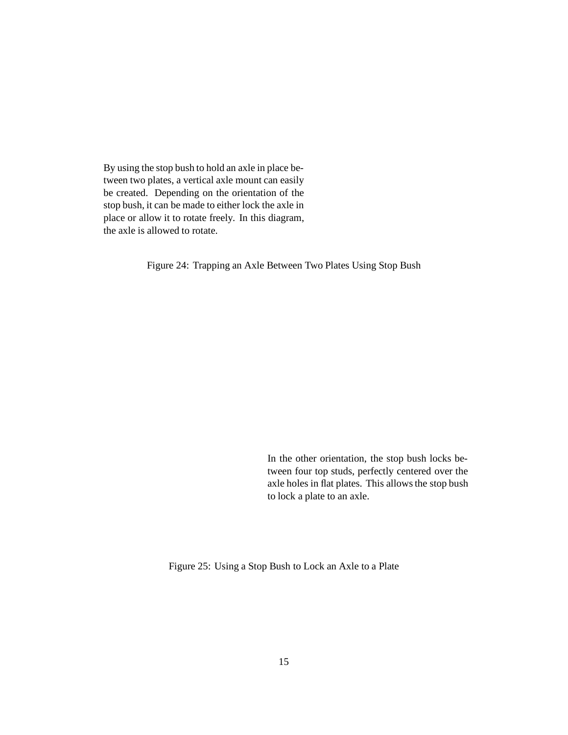By using the stop bush to hold an axle in place between two plates, a vertical axle mount can easily be created. Depending on the orientation of the stop bush, it can be made to either lock the axle in place or allow it to rotate freely. In this diagram, the axle is allowed to rotate.

Figure 24: Trapping an Axle Between Two Plates Using Stop Bush

In the other orientation, the stop bush locks between four top studs, perfectly centered over the axle holes in flat plates. This allows the stop bush to lock a plate to an axle.

Figure 25: Using a Stop Bush to Lock an Axle to a Plate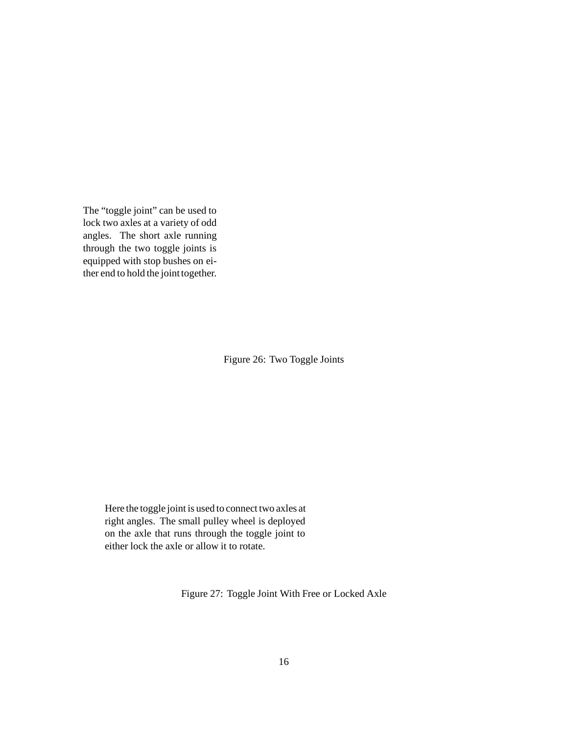The "toggle joint" can be used to lock two axles at a variety of odd angles. The short axle running through the two toggle joints is equipped with stop bushes on either end to hold the joint together.

Figure 26: Two Toggle Joints

Here the toggle joint is used to connect two axles at right angles. The small pulley wheel is deployed on the axle that runs through the toggle joint to either lock the axle or allow it to rotate.

Figure 27: Toggle Joint With Free or Locked Axle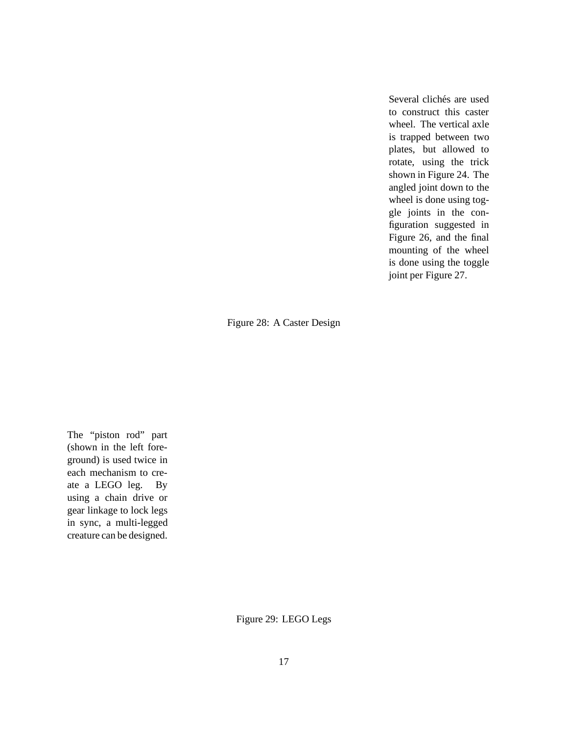Several clichés are used to construct this caster wheel. The vertical axle is trapped between two plates, but allowed to rotate, using the trick shown in Figure 24. The angled joint down to the wheel is done using toggle joints in the configuration suggested in Figure 26, and the final mounting of the wheel is done using the toggle joint per Figure 27.

Figure 28: A Caster Design

The "piston rod" part (shown in the left foreground) is used twice in each mechanism to create a LEGO leg. By using a chain drive or gear linkage to lock legs in sync, a multi-legged creature can be designed.

Figure 29: LEGO Legs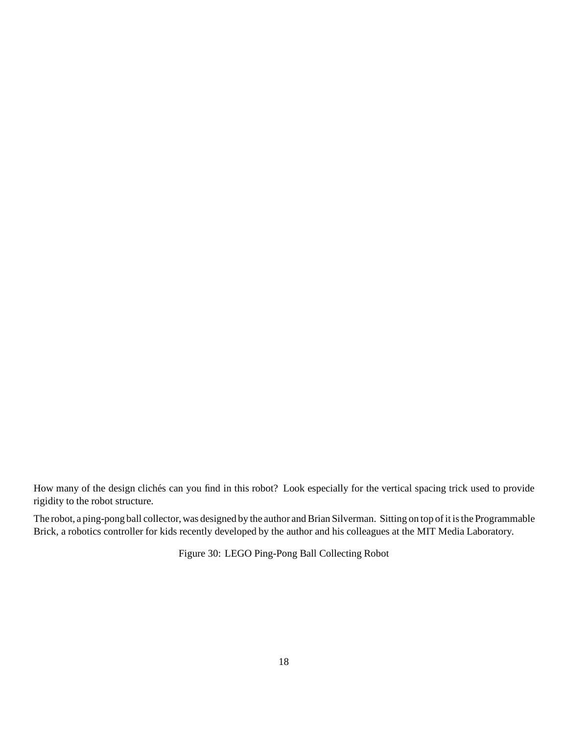How many of the design clichés can you find in this robot? Look especially for the vertical spacing trick used to provide rigidity to the robot structure.

The robot, a ping-pong ball collector, was designed by the author and Brian Silverman. Sitting on top of it is the Programmable Brick, a robotics controller for kids recently developed by the author and his colleagues at the MIT Media Laboratory.

Figure 30: LEGO Ping-Pong Ball Collecting Robot